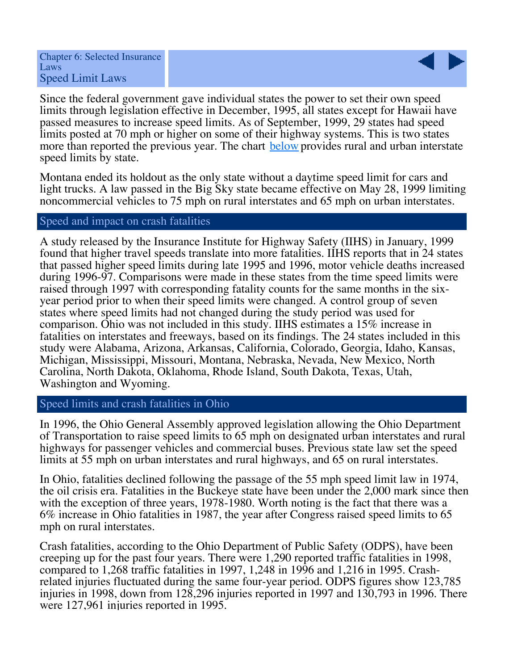

Since the federal government gave individual states the power to set their own speed limits through legislation effective in December, 1995, all states except for Hawaii have passed measures to increase speed limits. As of September, 1999, 29 states had speed limits posted at 70 mph or higher on some of their highway systems. This is two states more than reported the previous year. The chart below provides rural and urban interstate speed limits by state.

Montana ended its holdout as the only state without a daytime speed limit for cars and light trucks. A law passed in the Big Sky state became effective on May 28, 1999 limiting noncommercial vehicles to 75 mph on rural interstates and 65 mph on urban interstates.

## Speed and impact on crash fatalities

A study released by the Insurance Institute for Highway Safety (IIHS) in January, 1999 found that higher travel speeds translate into more fatalities. IIHS reports that in 24 states that passed higher speed limits during late 1995 and 1996, motor vehicle deaths increased during 1996-97. Comparisons were made in these states from the time speed limits were raised through 1997 with corresponding fatality counts for the same months in the sixyear period prior to when their speed limits were changed. A control group of seven states where speed limits had not changed during the study period was used for comparison. Ohio was not included in this study. IIHS estimates a 15% increase in fatalities on interstates and freeways, based on its findings. The 24 states included in this study were Alabama, Arizona, Arkansas, California, Colorado, Georgia, Idaho, Kansas, Michigan, Mississippi, Missouri, Montana, Nebraska, Nevada, New Mexico, North Carolina, North Dakota, Oklahoma, Rhode Island, South Dakota, Texas, Utah, Washington and Wyoming.

## Speed limits and crash fatalities in Ohio

In 1996, the Ohio General Assembly approved legislation allowing the Ohio Department of Transportation to raise speed limits to 65 mph on designated urban interstates and rural highways for passenger vehicles and commercial buses. Previous state law set the speed limits at 55 mph on urban interstates and rural highways, and 65 on rural interstates.

In Ohio, fatalities declined following the passage of the 55 mph speed limit law in 1974, the oil crisis era. Fatalities in the Buckeye state have been under the 2,000 mark since then with the exception of three years, 1978-1980. Worth noting is the fact that there was a 6% increase in Ohio fatalities in 1987, the year after Congress raised speed limits to 65 mph on rural interstates.

Crash fatalities, according to the Ohio Department of Public Safety (ODPS), have been creeping up for the past four years. There were 1,290 reported traffic fatalities in 1998, compared to 1,268 traffic fatalities in 1997, 1,248 in 1996 and 1,216 in 1995. Crashrelated injuries fluctuated during the same four-year period. ODPS figures show 123,785 injuries in 1998, down from 128,296 injuries reported in 1997 and 130,793 in 1996. There were 127,961 injuries reported in 1995.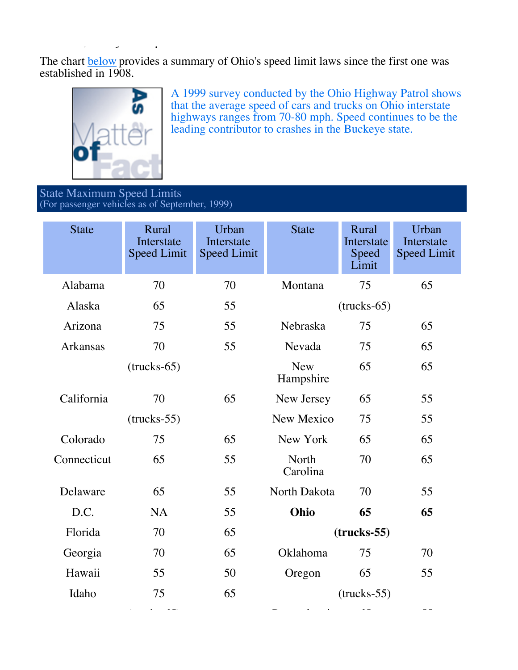The chart **below** provides a summary of Ohio's speed limit laws since the first one was established in  $1908$ .



A 1999 survey conducted by the Ohio Highway Patrol shows that the average speed of cars and trucks on Ohio interstate highways ranges from 70-80 mph. Speed continues to be the leading contributor to crashes in the Buckeye state.

State Maximum Speed Limits (For passenger vehicles as of September, 1999)

were  $\frac{1}{2}$  in  $\frac{1}{2}$  in  $\frac{1}{2}$  in  $\frac{1}{2}$  in  $\frac{1}{2}$  in  $\frac{1}{2}$ 

| <b>State</b>    | Rural<br>Interstate<br><b>Speed Limit</b> | Urban<br>Interstate<br><b>Speed Limit</b> | <b>State</b>            | Rural<br>Interstate<br>Speed<br>Limit | Urban<br>Interstate<br><b>Speed Limit</b> |
|-----------------|-------------------------------------------|-------------------------------------------|-------------------------|---------------------------------------|-------------------------------------------|
| Alabama         | 70                                        | 70                                        | Montana                 | 75                                    | 65                                        |
| Alaska          | 65                                        | 55                                        |                         | $(trucks-65)$                         |                                           |
| Arizona         | 75                                        | 55                                        | Nebraska                | 75                                    | 65                                        |
| <b>Arkansas</b> | 70                                        | 55                                        | Nevada                  | 75                                    | 65                                        |
|                 | $(trucks-65)$                             |                                           | <b>New</b><br>Hampshire | 65                                    | 65                                        |
| California      | 70                                        | 65                                        | New Jersey              | 65                                    | 55                                        |
|                 | $(trucks-55)$                             |                                           | New Mexico              | 75                                    | 55                                        |
| Colorado        | 75                                        | 65                                        | New York                | 65                                    | 65                                        |
| Connecticut     | 65                                        | 55                                        | North<br>Carolina       | 70                                    | 65                                        |
| Delaware        | 65                                        | 55                                        | North Dakota            | 70                                    | 55                                        |
| D.C.            | <b>NA</b>                                 | 55                                        | Ohio                    | 65                                    | 65                                        |
| Florida         | 70                                        | 65                                        | $(trueks-55)$           |                                       |                                           |
| Georgia         | 70                                        | 65                                        | Oklahoma                | 75                                    | 70                                        |
| Hawaii          | 55                                        | 50                                        | Oregon                  | 65                                    | 55                                        |
| Idaho           | 75                                        | 65                                        | $(trucks-55)$           |                                       |                                           |
|                 |                                           |                                           |                         |                                       |                                           |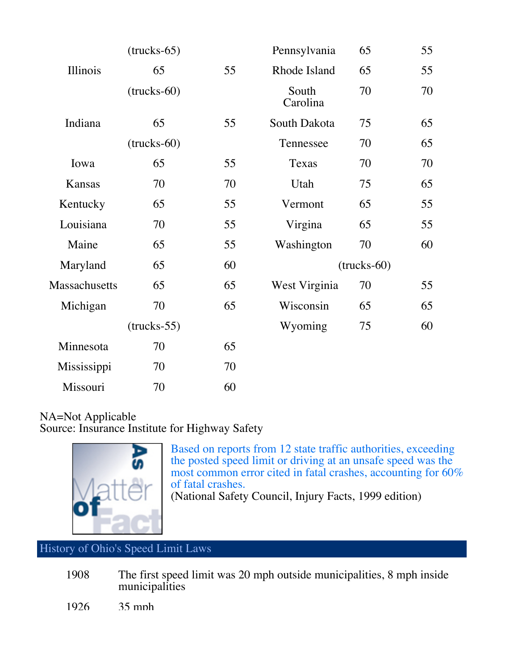|               | $(trucks-65)$        |    | Pennsylvania         | 65 | 55 |
|---------------|----------------------|----|----------------------|----|----|
| Illinois      | 65                   | 55 | Rhode Island         | 65 | 55 |
|               | $(\text{trucks-60})$ |    | South<br>Carolina    | 70 | 70 |
| Indiana       | 65                   | 55 | South Dakota         | 75 | 65 |
|               | $(\text{trucks-60})$ |    | Tennessee            | 70 | 65 |
| Iowa          | 65                   | 55 | Texas<br>70          |    | 70 |
| Kansas        | 70                   | 70 | Utah<br>75           |    | 65 |
| Kentucky      | 65                   | 55 | 65<br>Vermont        |    | 55 |
| Louisiana     | 70                   | 55 | Virgina              | 65 | 55 |
| Maine         | 65                   | 55 | Washington<br>70     |    | 60 |
| Maryland      | 65                   | 60 | $(\text{trucks-60})$ |    |    |
| Massachusetts | 65                   | 65 | West Virginia<br>70  |    | 55 |
| Michigan      | 70                   | 65 | Wisconsin            | 65 | 65 |
|               | $(trucks-55)$        |    | Wyoming              | 75 | 60 |
| Minnesota     | 70                   | 65 |                      |    |    |
| Mississippi   | 70                   | 70 |                      |    |    |
| Missouri      | 70                   | 60 |                      |    |    |

## NA=Not Applicable Source: Insurance Institute for Highway Safety



Based on reports from 12 state traffic authorities, exceeding the posted speed limit or driving at an unsafe speed was the most common error cited in fatal crashes, accounting for 60% of fatal crashes.

(National Safety Council, Injury Facts, 1999 edition)

## History of Ohio's Speed Limit Laws

1908 The first speed limit was 20 mph outside municipalities, 8 mph inside municipalities

1926 35 mph